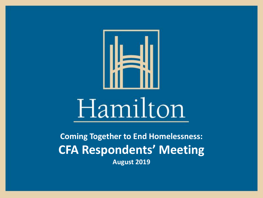

**Coming Together to End Homelessness: CFA Respondents' Meeting August 2019**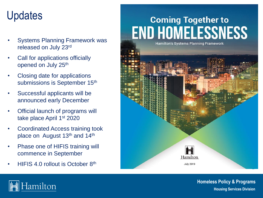### Updates

- Systems Planning Framework was released on July 23rd
- Call for applications officially opened on July 25<sup>th</sup>
- Closing date for applications submissions is September 15<sup>th</sup>
- Successful applicants will be announced early December
- Official launch of programs will take place April 1st 2020
- Coordinated Access training took place on August 13<sup>th</sup> and 14<sup>th</sup>
- Phase one of HIFIS training will commence in September
- HIFIS 4.0 rollout is October 8th

### **Coming Together to END HOMELESSNESS**



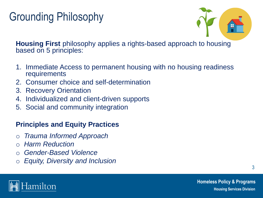### Grounding Philosophy



**Housing First** philosophy applies a rights-based approach to housing based on 5 principles:

- 1. Immediate Access to permanent housing with no housing readiness requirements
- 2. Consumer choice and self-determination
- 3. Recovery Orientation
- 4. Individualized and client-driven supports
- 5. Social and community integration

#### **Principles and Equity Practices**

- o *Trauma Informed Approach*
- **Harm Reduction**
- o *Gender-Based Violence*
- o *Equity, Diversity and Inclusion*

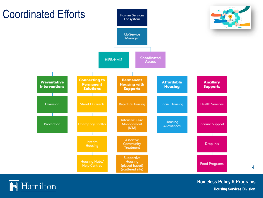

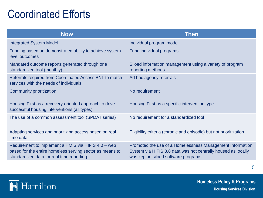### Coordinated Efforts

| <b>Now</b>                                                                                                                                                   | <b>Then</b>                                                                                                                                                        |  |
|--------------------------------------------------------------------------------------------------------------------------------------------------------------|--------------------------------------------------------------------------------------------------------------------------------------------------------------------|--|
| <b>Integrated System Model</b>                                                                                                                               | Individual program model                                                                                                                                           |  |
| Funding based on demonstrated ability to achieve system<br>level outcomes                                                                                    | Fund individual programs                                                                                                                                           |  |
| Mandated outcome reports generated through one<br>standardized tool (monthly)                                                                                | Siloed information management using a variety of program<br>reporting methods                                                                                      |  |
| Referrals required from Coordinated Access BNL to match<br>services with the needs of individuals                                                            | Ad hoc agency referrals                                                                                                                                            |  |
| Community prioritization                                                                                                                                     | No requirement                                                                                                                                                     |  |
| Housing First as a recovery-oriented approach to drive<br>successful housing interventions (all types)                                                       | Housing First as a specific intervention type                                                                                                                      |  |
| The use of a common assessment tool (SPDAT series)                                                                                                           | No requirement for a standardized tool                                                                                                                             |  |
| Adapting services and prioritizing access based on real<br>time data                                                                                         | Eligibility criteria (chronic and episodic) but not prioritization                                                                                                 |  |
| Requirement to implement a HMIS via HIFIS 4.0 - web<br>based for the entire homeless serving sector as means to<br>standardized data for real time reporting | Promoted the use of a Homelessness Management Information<br>System via HIFIS 3.8 data was not centrally housed as locally<br>was kept in siloed software programs |  |

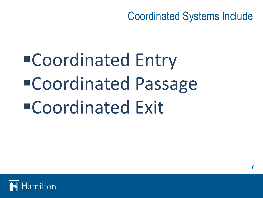Coordinated Systems Include

▪Coordinated Entry ▪Coordinated Passage ■Coordinated Exit

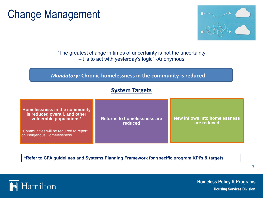### Change Management



"The greatest change in times of uncertainty is not the uncertainty –it is to act with yesterday's logic" -Anonymous

#### *Mandatory:* **Chronic homelessness in the community is reduced**

#### **System Targets**

| Homelessness in the community<br>is reduced overall, and other<br>vulnerable populations* | <b>Returns to homelessness are</b><br>reduced | New inflows into homelessness<br>are reduced |
|-------------------------------------------------------------------------------------------|-----------------------------------------------|----------------------------------------------|
| *Communities will be required to report<br>on Indigenous Homelessness                     |                                               |                                              |

**\*Refer to CFA guidelines and Systems Planning Framework for specific program KPI's & targets** 

lamilton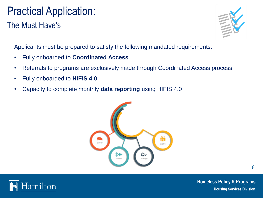### Practical Application: The Must Have's



Applicants must be prepared to satisfy the following mandated requirements:

- Fully onboarded to **Coordinated Access**
- Referrals to programs are exclusively made through Coordinated Access process
- Fully onboarded to **HIFIS 4.0**
- Capacity to complete monthly **data reporting** using HIFIS 4.0



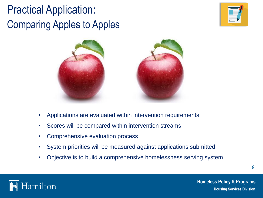### Practical Application: Comparing Apples to Apples





- Applications are evaluated within intervention requirements
- Scores will be compared within intervention streams
- Comprehensive evaluation process
- System priorities will be measured against applications submitted
- Objective is to build a comprehensive homelessness serving system

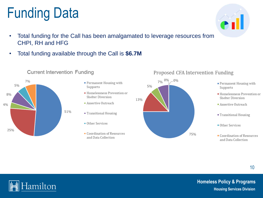#### **Homeless Policy & Programs Housing Services Division**

#### 5% 8% **Shelter Diversion** Assertive Outreach  $4%$ 51% Other Services 25%

#### **Current Intervention Funding**

• Total funding available through the Call is **\$6.7M**

- Permanent Housing with Supports
- Homelessness Prevention or

13%

- " Transitional Housing
- Coordination of Resources and Data Collection





- Permanent Housing with Supports
- Homelessness Prevention or **Shelter Diversion**
- Assertive Outreach
- Transitional Housing
- Other Services
- Coordination of Resources and Data Collection

10





# Funding Data

CHPI, RH and HFG

7%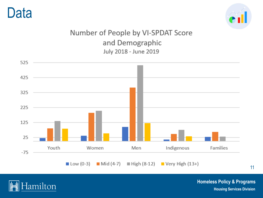### Data



#### Number of People by VI-SPDAT Score and Demographic July 2018 - June 2019





**Homeless Policy & Programs Housing Services Division** 

11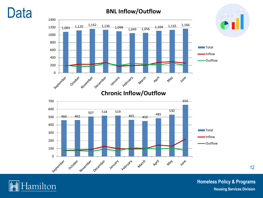